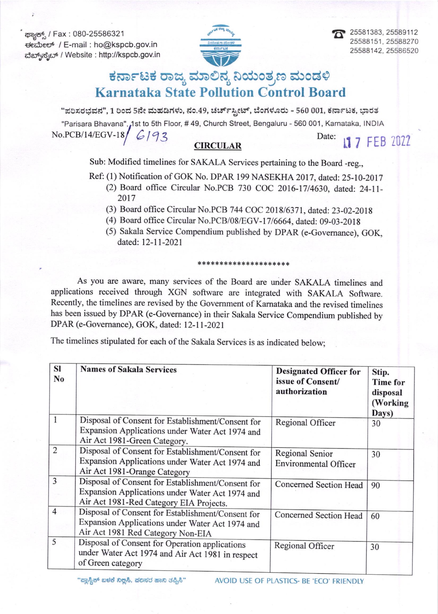ಕ್<del>ಟಾನ್ಸ್</del>ಸ್ / Fax: 080-25586321 ಈಮೇಲ್ / E-mail : ho@kspcb.gov.in ವೆಬ್ಸ್ ಸೈಲ್ / Website : http://kspcb.gov.in





## ಕರ್ನಾಟಕ ರಾಜ್ಯ ಮಾಲಿನ್ಯ ನಿಯಂತ್ರಣ ಮಂಡಳಿ **Karnataka State Pollution Control Board**

"ಪರಿಸರಭವನ", 1 ರಿಂದ 5ನೇ ಮಹಡಿಗಳು, ನಂ.49, ಚರ್ಚ್ಸ್ಟೀಟ್, ಬೆಂಗಳೂರು - 560 001, ಕರ್ನಾಟಕ, ಭಾರತ

"Parisara Bhavana", 1st to 5th Floor, #49, Church Street, Bengaluru - 560 001, Karnataka, INDIA  $No.PCB/14/EGV-18/6192$ Date:

## **CIRCULAR**

11 7 FEB 2022

Sub: Modified timelines for SAKALA Services pertaining to the Board -reg.,

- Ref: (1) Notification of GOK No. DPAR 199 NASEKHA 2017, dated: 25-10-2017 (2) Board office Circular No.PCB 730 COC 2016-17/4630, dated: 24-11-2017
	- (3) Board office Circular No.PCB 744 COC 2018/6371, dated: 23-02-2018
	- (4) Board office Circular No.PCB/08/EGV-17/6664, dated: 09-03-2018
	- (5) Sakala Service Compendium published by DPAR (e-Governance), GOK, dated: 12-11-2021

\*\*\*\*\*\*\*\*\*\*\*\*\*\*\*\*\*\*\*\*\*

As you are aware, many services of the Board are under SAKALA timelines and applications received through XGN software are integrated with SAKALA Software. Recently, the timelines are revised by the Government of Karnataka and the revised timelines has been issued by DPAR (e-Governance) in their Sakala Service Compendium published by DPAR (e-Governance), GOK, dated: 12-11-2021

The timelines stipulated for each of the Sakala Services is as indicated below;

| <b>SI</b><br>N <sub>0</sub> | <b>Names of Sakala Services</b>                                                                                                                 | <b>Designated Officer for</b><br>issue of Consent/<br>authorization | Stip.<br><b>Time for</b><br>disposal<br>(Working)<br>Days) |
|-----------------------------|-------------------------------------------------------------------------------------------------------------------------------------------------|---------------------------------------------------------------------|------------------------------------------------------------|
| 1                           | Disposal of Consent for Establishment/Consent for<br>Expansion Applications under Water Act 1974 and<br>Air Act 1981-Green Category.            | Regional Officer                                                    | 30                                                         |
| $\overline{2}$              | Disposal of Consent for Establishment/Consent for<br>Expansion Applications under Water Act 1974 and<br>Air Act 1981-Orange Category            | Regional Senior<br><b>Environmental Officer</b>                     | 30                                                         |
| 3                           | Disposal of Consent for Establishment/Consent for<br>Expansion Applications under Water Act 1974 and<br>Air Act 1981-Red Category EIA Projects. | Concerned Section Head                                              | 90                                                         |
| $\overline{4}$              | Disposal of Consent for Establishment/Consent for<br>Expansion Applications under Water Act 1974 and<br>Air Act 1981 Red Category Non-EIA       | Concerned Section Head                                              | 60                                                         |
| 5                           | Disposal of Consent for Operation applications<br>under Water Act 1974 and Air Act 1981 in respect<br>of Green category                         | Regional Officer                                                    | 30                                                         |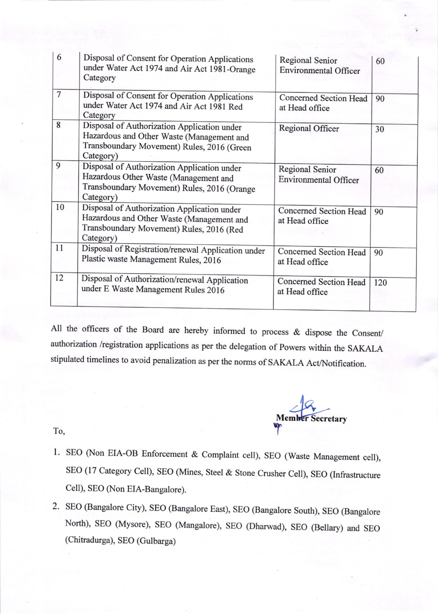| 6              | Disposal of Consent for Operation Applications<br>under Water Act 1974 and Air Act 1981-Orange<br>Category                                          | Regional Senior<br><b>Environmental Officer</b> | 60  |
|----------------|-----------------------------------------------------------------------------------------------------------------------------------------------------|-------------------------------------------------|-----|
| $\overline{7}$ | Disposal of Consent for Operation Applications<br>under Water Act 1974 and Air Act 1981 Red<br>Category                                             | Concerned Section Head<br>at Head office        | 90  |
| 8              | Disposal of Authorization Application under<br>Hazardous and Other Waste (Management and<br>Transboundary Movement) Rules, 2016 (Green<br>Category) | Regional Officer                                | 30  |
| 9              | Disposal of Authorization Application under<br>Hazardous Other Waste (Management and<br>Transboundary Movement) Rules, 2016 (Orange<br>Category)    | Regional Senior<br><b>Environmental Officer</b> | 60  |
| 10             | Disposal of Authorization Application under<br>Hazardous and Other Waste (Management and<br>Transboundary Movement) Rules, 2016 (Red<br>Category)   | Concerned Section Head<br>at Head office        | 90  |
| 11             | Disposal of Registration/renewal Application under<br>Plastic waste Management Rules, 2016                                                          | Concerned Section Head<br>at Head office        | 90  |
| 12             | Disposal of Authorization/renewal Application<br>under E Waste Management Rules 2016                                                                | Concerned Section Head<br>at Head office        | 120 |

All the officers of the Board are hereby informed to process & dispose the consent/ authorization /registration applications as per the delegation of powers within the SAKALA stipulated timelines to avoid penalization as per the norms of SAKALA Act/Notification.

 $-18$ Member Secretary Y

To,

- l. sEo (Non EIA-OB Enforcement & complaint cell), SEo (waste Management cell), sEo (17 category cell), sEo (Mines, steel & Stone crusher cell), sEo (Infrastructure Cell), SEO (Non ElA-Bangalore).
- 2. SEO (Bangalore City), SEO (Bangalore East), SEO (Bangalore South), SEO (Bangalore North), SEO (Mysore), SEO (Mangalore), SEO (Dharwad), SEO (Bellary) and SEO (Chitradurga), SEO (Gulbarga)